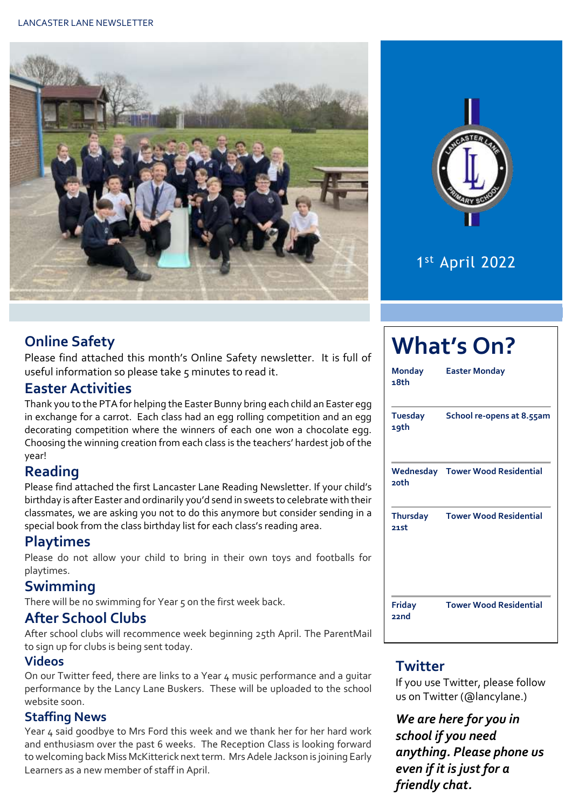



# 1 st April 2022

## **Online Safety**

Please find attached this month's Online Safety newsletter. It is full of useful information so please take 5 minutes to read it.

## **Easter Activities**

Thank you to the PTA for helping the Easter Bunny bring each child an Easter egg in exchange for a carrot. Each class had an egg rolling competition and an egg decorating competition where the winners of each one won a chocolate egg. Choosing the winning creation from each class is the teachers' hardest job of the year!

## **Reading**

Please find attached the first Lancaster Lane Reading Newsletter. If your child's birthday is after Easter and ordinarily you'd send in sweets to celebrate with their classmates, we are asking you not to do this anymore but consider sending in a special book from the class birthday list for each class's reading area.

## **Playtimes**

Please do not allow your child to bring in their own toys and footballs for playtimes.

## **Swimming**

There will be no swimming for Year 5 on the first week back.

## **After School Clubs**

After school clubs will recommence week beginning 25th April. The ParentMail to sign up for clubs is being sent today.

#### **Videos**

On our Twitter feed, there are links to a Year 4 music performance and a guitar performance by the Lancy Lane Buskers. These will be uploaded to the school website soon.

#### **Staffing News**

Year 4 said goodbye to Mrs Ford this week and we thank her for her hard work and enthusiasm over the past 6 weeks. The Reception Class is looking forward to welcoming back Miss McKitterick next term. Mrs Adele Jackson is joining Early Learners as a new member of staff in April.

| <b>Monday</b><br>18th   | <b>Easter Monday</b>                    |  |  |  |  |
|-------------------------|-----------------------------------------|--|--|--|--|
| <b>Tuesday</b><br>19th  | School re-opens at 8.55am               |  |  |  |  |
| <b>20th</b>             | <b>Wednesday Tower Wood Residential</b> |  |  |  |  |
| <b>Thursday</b><br>21st | <b>Tower Wood Residential</b>           |  |  |  |  |
| <b>Friday</b><br>22nd   | <b>Tower Wood Residential</b>           |  |  |  |  |

## **Twitter**

If you use Twitter, please follow us on Twitter (@lancylane.)

*We are here for you in school if you need anything. Please phone us even if it is just for a friendly chat.*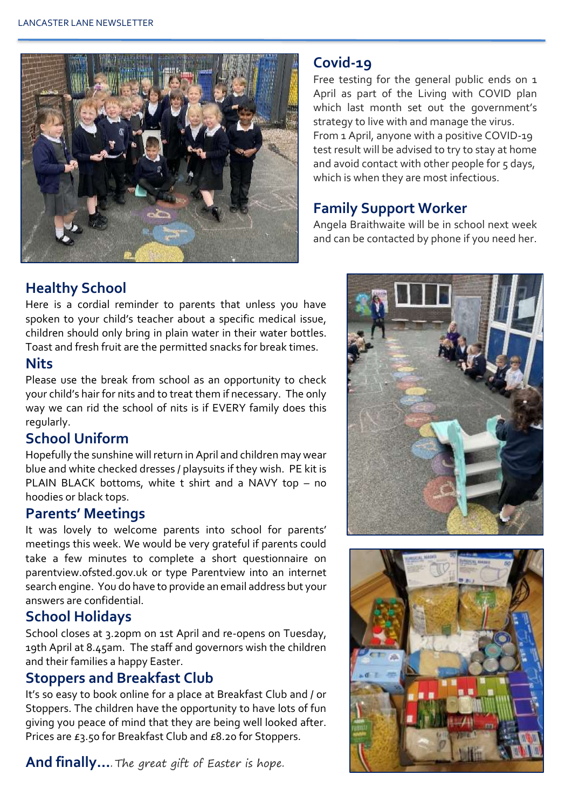

#### **Covid-19**

Free testing for the general public ends on 1 April as part of the Living with COVID plan which last month set out the government's strategy to live with and manage the virus. From 1 April, anyone with a positive COVID-19 test result will be advised to try to stay at home and avoid contact with other people for 5 days, which is when they are most infectious.

## **Family Support Worker**

Angela Braithwaite will be in school next week and can be contacted by phone if you need her.

## **Healthy School**

Here is a cordial reminder to parents that unless you have spoken to your child's teacher about a specific medical issue, children should only bring in plain water in their water bottles. Toast and fresh fruit are the permitted snacks for break times.

#### **Nits**

Please use the break from school as an opportunity to check your child's hair for nits and to treat them if necessary. The only way we can rid the school of nits is if EVERY family does this regularly.

## **School Uniform**

Hopefully the sunshine will return in April and children may wear blue and white checked dresses / playsuits if they wish. PE kit is PLAIN BLACK bottoms, white t shirt and a NAVY top – no hoodies or black tops.

## **Parents' Meetings**

It was lovely to welcome parents into school for parents' meetings this week. We would be very grateful if parents could take a few minutes to complete a short questionnaire on parentview.ofsted.gov.uk or type Parentview into an internet search engine. You do have to provide an email address but your answers are confidential.

## **School Holidays**

School closes at 3.20pm on 1st April and re-opens on Tuesday, 19th April at 8.45am. The staff and governors wish the children and their families a happy Easter.

## **Stoppers and Breakfast Club**

It's so easy to book online for a place at Breakfast Club and / or Stoppers. The children have the opportunity to have lots of fun giving you peace of mind that they are being well looked after. Prices are £3.50 for Breakfast Club and £8.20 for Stoppers.

**And finally…**. The great gift of Easter is hope.